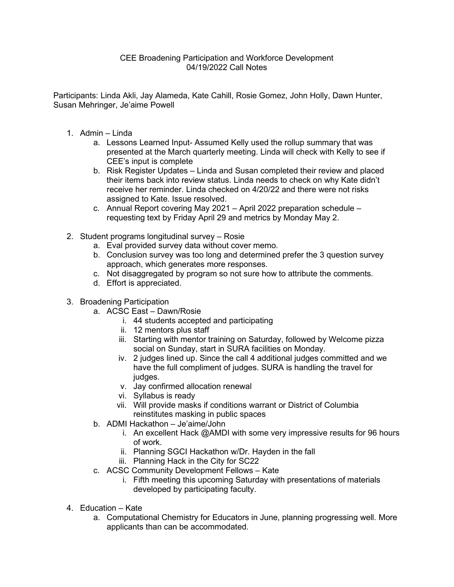## CEE Broadening Participation and Workforce Development 04/19/2022 Call Notes

Participants: Linda Akli, Jay Alameda, Kate Cahill, Rosie Gomez, John Holly, Dawn Hunter, Susan Mehringer, Je'aime Powell

- 1. Admin Linda
	- a. Lessons Learned Input- Assumed Kelly used the rollup summary that was presented at the March quarterly meeting. Linda will check with Kelly to see if CEE's input is complete
	- b. Risk Register Updates Linda and Susan completed their review and placed their items back into review status. Linda needs to check on why Kate didn't receive her reminder. Linda checked on 4/20/22 and there were not risks assigned to Kate. Issue resolved.
	- c. Annual Report covering May 2021 April 2022 preparation schedule requesting text by Friday April 29 and metrics by Monday May 2.
- 2. Student programs longitudinal survey Rosie
	- a. Eval provided survey data without cover memo.
	- b. Conclusion survey was too long and determined prefer the 3 question survey approach, which generates more responses.
	- c. Not disaggregated by program so not sure how to attribute the comments.
	- d. Effort is appreciated.
- 3. Broadening Participation
	- a. ACSC East Dawn/Rosie
		- i. 44 students accepted and participating
		- ii. 12 mentors plus staff
		- iii. Starting with mentor training on Saturday, followed by Welcome pizza social on Sunday, start in SURA facilities on Monday.
		- iv. 2 judges lined up. Since the call 4 additional judges committed and we have the full compliment of judges. SURA is handling the travel for judges.
		- v. Jay confirmed allocation renewal
		- vi. Syllabus is ready
		- vii. Will provide masks if conditions warrant or District of Columbia reinstitutes masking in public spaces
	- b. ADMI Hackathon Je'aime/John
		- i. An excellent Hack @AMDI with some very impressive results for 96 hours of work.
		- ii. Planning SGCI Hackathon w/Dr. Hayden in the fall
		- iii. Planning Hack in the City for SC22
	- c. ACSC Community Development Fellows Kate
		- i. Fifth meeting this upcoming Saturday with presentations of materials developed by participating faculty.
- 4. Education Kate
	- a. Computational Chemistry for Educators in June, planning progressing well. More applicants than can be accommodated.